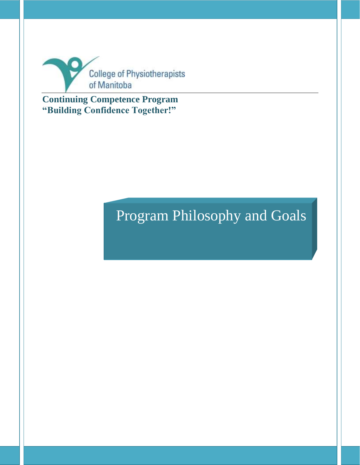

**Continuing Competence Program "Building Confidence Together!"**

# Program Philosophy and Goals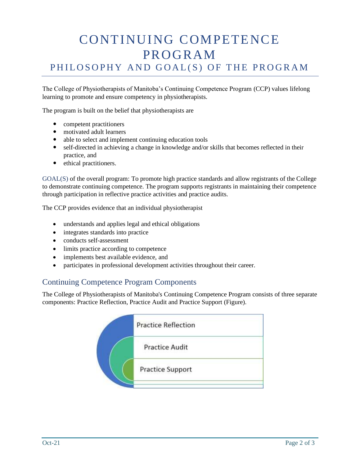# CONTINUING COMPETENCE PROGRAM PHILOSOPHY AND GOAL(S) OF THE PROGRAM

The College of Physiotherapists of Manitoba's Continuing Competence Program (CCP) values lifelong learning to promote and ensure competency in physiotherapists.

The program is built on the belief that physiotherapists are

- competent practitioners
- motivated adult learners
- able to select and implement continuing education tools
- self-directed in achieving a change in knowledge and/or skills that becomes reflected in their practice, and
- ethical practitioners.

GOAL(S) of the overall program: To promote high practice standards and allow registrants of the College to demonstrate continuing competence. The program supports registrants in maintaining their competence through participation in reflective practice activities and practice audits.

The CCP provides evidence that an individual physiotherapist

- understands and applies legal and ethical obligations
- integrates standards into practice
- conducts self-assessment
- limits practice according to competence
- implements best available evidence, and
- participates in professional development activities throughout their career.

## Continuing Competence Program Components

The College of Physiotherapists of Manitoba's Continuing Competence Program consists of three separate components: Practice Reflection, Practice Audit and Practice Support (Figure).

| <b>Practice Reflection</b> |  |
|----------------------------|--|
| <b>Practice Audit</b>      |  |
| <b>Practice Support</b>    |  |
|                            |  |